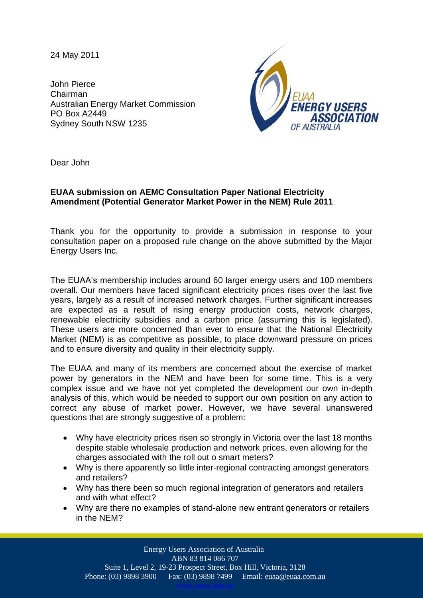24 May 2011

John Pierce Chairman Australian Energy Market Commission PO Box A2449 Sydney South NSW 1235



Dear John

## **EUAA submission on AEMC Consultation Paper National Electricity Amendment (Potential Generator Market Power in the NEM) Rule 2011**

Thank you for the opportunity to provide a submission in response to your consultation paper on a proposed rule change on the above submitted by the Major Energy Users Inc.

The EUAA's membership includes around 60 larger energy users and 100 members overall. Our members have faced significant electricity prices rises over the last five years, largely as a result of increased network charges. Further significant increases are expected as a result of rising energy production costs, network charges, renewable electricity subsidies and a carbon price (assuming this is legislated). These users are more concerned than ever to ensure that the National Electricity Market (NEM) is as competitive as possible, to place downward pressure on prices and to ensure diversity and quality in their electricity supply.

The EUAA and many of its members are concerned about the exercise of market power by generators in the NEM and have been for some time. This is a very complex issue and we have not yet completed the development our own in-depth analysis of this, which would be needed to support our own position on any action to correct any abuse of market power. However, we have several unanswered questions that are strongly suggestive of a problem:

- Why have electricity prices risen so strongly in Victoria over the last 18 months despite stable wholesale production and network prices, even allowing for the charges associated with the roll out o smart meters?
- Why is there apparently so little inter-regional contracting amongst generators and retailers?
- Why has there been so much regional integration of generators and retailers and with what effect?
- Why are there no examples of stand-alone new entrant generators or retailers in the NEM?